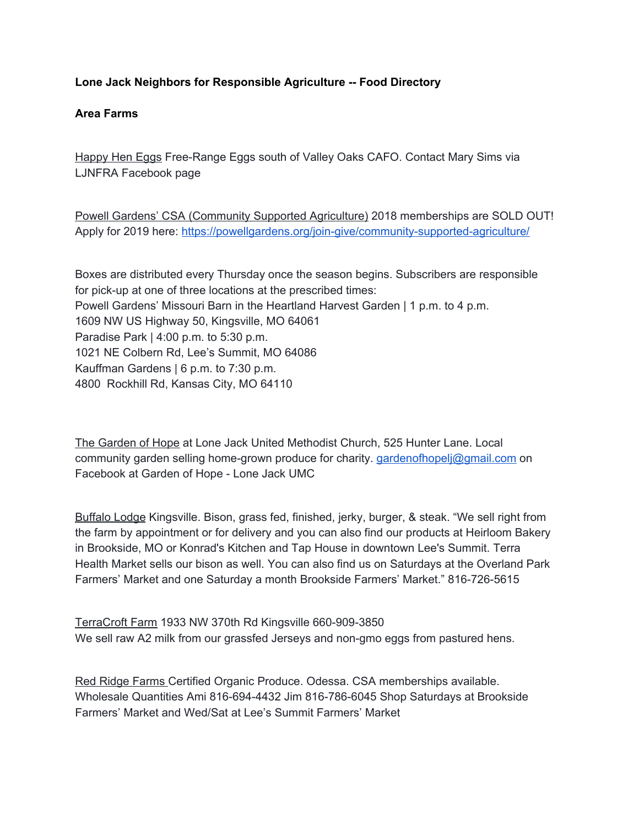### **Lone Jack Neighbors for Responsible Agriculture -- Food Directory**

### **Area Farms**

Happy Hen Eggs Free-Range Eggs south of Valley Oaks CAFO. Contact Mary Sims via LJNFRA Facebook page

Powell Gardens' CSA (Community Supported Agriculture) 2018 memberships are SOLD OUT! Apply for 2019 here: <https://powellgardens.org/join-give/community-supported-agriculture/>

Boxes are distributed every Thursday once the season begins. Subscribers are responsible for pick-up at one of three locations at the prescribed times: Powell Gardens' Missouri Barn in the Heartland Harvest Garden | 1 p.m. to 4 p.m. 1609 NW US Highway 50, Kingsville, MO 64061 Paradise Park | 4:00 p.m. to 5:30 p.m. 1021 NE Colbern Rd, Lee's Summit, MO 64086 Kauffman Gardens | 6 p.m. to 7:30 p.m. 4800 Rockhill Rd, Kansas City, MO 64110

The Garden of Hope at Lone Jack United Methodist Church, 525 Hunter Lane. Local community garden selling home-grown produce for charity. [gardenofhopelj@gmail.com](mailto:gardenofhopelj@gmail.com) on Facebook at Garden of Hope - Lone Jack UMC

Buffalo Lodge Kingsville. Bison, grass fed, finished, jerky, burger, & steak. "We sell right from the farm by appointment or for delivery and you can also find our products at Heirloom Bakery in Brookside, MO or Konrad's Kitchen and Tap House in downtown Lee's Summit. Terra Health Market sells our bison as well. You can also find us on Saturdays at the Overland Park Farmers' Market and one Saturday a month Brookside Farmers' Market." 816-726-5615

TerraCroft Farm 1933 NW 370th Rd Kingsville 660-909-3850 We sell raw A2 milk from our grassfed Jerseys and non-gmo eggs from pastured hens.

Red Ridge Farms Certified Organic Produce. Odessa. CSA memberships available. Wholesale Quantities Ami 816-694-4432 Jim 816-786-6045 Shop Saturdays at Brookside Farmers' Market and Wed/Sat at Lee's Summit Farmers' Market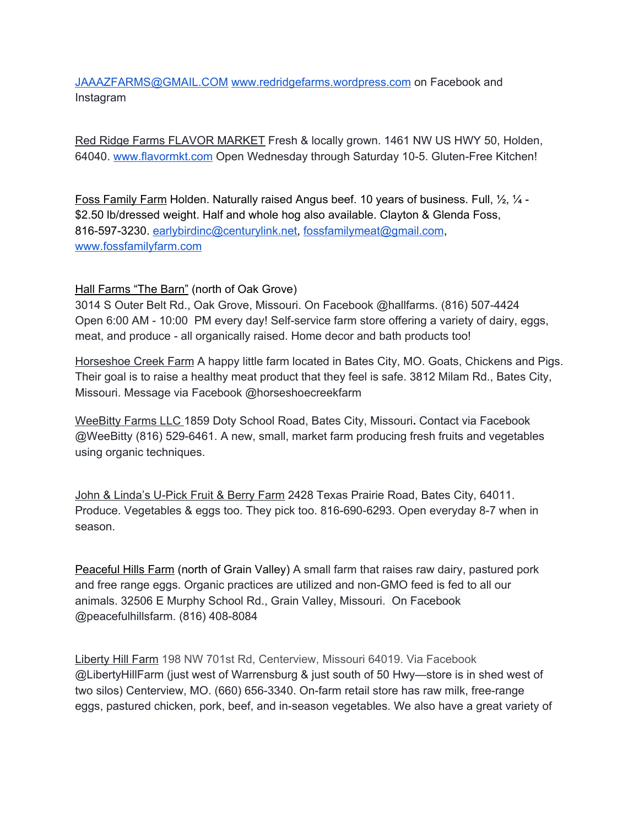[JAAAZFARMS@GMAIL.COM](mailto:JAAAZFARMS@GMAIL.COM) [www.redridgefarms.wordpress.com](http://www.redridgefarms.wordpress.com/) on Facebook and Instagram

Red Ridge Farms FLAVOR MARKET Fresh & locally grown. 1461 NW US HWY 50, Holden, 64040. [www.flavormkt.com](http://www.flavormarket.com/) Open Wednesday through Saturday 10-5. Gluten-Free Kitchen!

Foss Family Farm Holden. Naturally raised Angus beef. 10 years of business. Full,  $\frac{1}{2}$ ,  $\frac{1}{4}$ . \$2.50 lb/dressed weight. Half and whole hog also available. Clayton & Glenda Foss, 816-597-3230. [earlybirdinc@centurylink.net,](mailto:earlybirdinc@centurylink.net) [fossfamilymeat@gmail.com](mailto:fossfamilymeat@gmail.com), [www.fossfamilyfarm.com](http://www.fossfamilyfarm.com/)

# Hall Farms "The Barn" (north of Oak Grove)

3014 S Outer Belt Rd., Oak Grove, Missouri. On Facebook @hallfarms. (816) 507-4424 Open 6:00 AM - 10:00 PM every day! Self-service farm store offering a variety of dairy, eggs, meat, and produce - all organically raised. Home decor and bath products too!

Horseshoe Creek Farm A happy little farm located in Bates City, MO. Goats, Chickens and Pigs. Their goal is to raise a healthy meat product that they feel is safe. 3812 Milam Rd., Bates City, Missouri. Message via Facebook @horseshoecreekfarm

WeeBitty Farms LLC 1859 Doty School Road, Bates City, Missouri**.** Contact via Facebook @WeeBitty (816) 529-6461. A new, small, market farm producing fresh fruits and vegetables using organic techniques.

John & Linda's U-Pick Fruit & Berry Farm 2428 Texas Prairie Road, Bates City, 64011. Produce. Vegetables & eggs too. They pick too. 816-690-6293. Open everyday 8-7 when in season.

Peaceful Hills Farm (north of Grain Valley) A small farm that raises raw dairy, pastured pork and free range eggs. Organic practices are utilized and non-GMO feed is fed to all our animals. 32506 E Murphy School Rd., Grain Valley, Missouri. On Facebook @peacefulhillsfarm. (816) 408-8084

Liberty Hill Farm 198 NW 701st Rd, Centerview, Missouri 64019. Via Facebook @LibertyHillFarm (just west of Warrensburg & just south of 50 Hwy—store is in shed west of two silos) Centerview, MO. (660) 656-3340. On-farm retail store has raw milk, free-range eggs, pastured chicken, pork, beef, and in-season vegetables. We also have a great variety of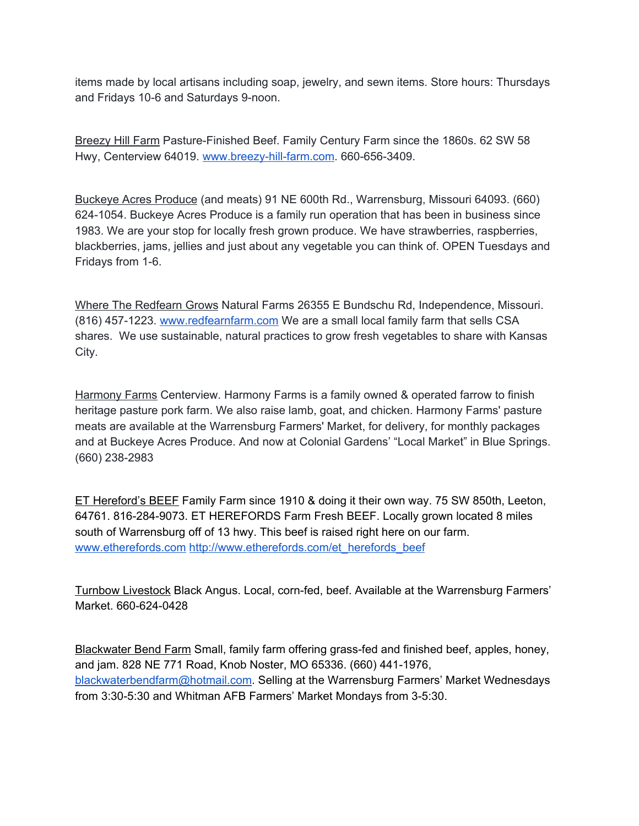items made by local artisans including soap, jewelry, and sewn items. Store hours: Thursdays and Fridays 10-6 and Saturdays 9-noon.

Breezy Hill Farm Pasture-Finished Beef. Family Century Farm since the 1860s. 62 SW 58 Hwy, Centerview 64019. [www.breezy-hill-farm.com](http://www.breezy-hill-farm.com/). 660-656-3409.

Buckeye Acres Produce (and meats) 91 NE 600th Rd., Warrensburg, Missouri 64093. (660) 624-1054. Buckeye Acres Produce is a family run operation that has been in business since 1983. We are your stop for locally fresh grown produce. We have strawberries, raspberries, blackberries, jams, jellies and just about any vegetable you can think of. OPEN Tuesdays and Fridays from 1-6.

Where The Redfearn Grows Natural Farms 26355 E Bundschu Rd, Independence, Missouri. (816) 457-1223. [www.redfearnfarm.com](http://www.redfearnfarm.com/) We are a small local family farm that sells CSA shares. We use sustainable, natural practices to grow fresh vegetables to share with Kansas City.

Harmony Farms Centerview. Harmony Farms is a family owned & operated farrow to finish heritage pasture pork farm. We also raise lamb, goat, and chicken. Harmony Farms' pasture meats are available at the Warrensburg Farmers' Market, for delivery, for monthly packages and at Buckeye Acres Produce. And now at Colonial Gardens' "Local Market" in Blue Springs. (660) 238-2983

ET Hereford's BEEF Family Farm since 1910 & doing it their own way. 75 SW 850th, Leeton, 64761. 816-284-9073. ET HEREFORDS Farm Fresh BEEF. Locally grown located 8 miles south of Warrensburg off of 13 hwy. This beef is raised right here on our farm. [www.etherefords.com](http://www.etherefords.com/) [http://www.etherefords.com/et\\_herefords\\_beef](http://www.etherefords.com/et_herefords_beef)

Turnbow Livestock Black Angus. Local, corn-fed, beef. Available at the Warrensburg Farmers' Market. 660-624-0428

Blackwater Bend Farm Small, family farm offering grass-fed and finished beef, apples, honey, and jam. 828 NE 771 Road, Knob Noster, MO 65336. (660) 441-1976, [blackwaterbendfarm@hotmail.com.](mailto:blackwaterbendfarm@hotmail.com) Selling at the Warrensburg Farmers' Market Wednesdays from 3:30-5:30 and Whitman AFB Farmers' Market Mondays from 3-5:30.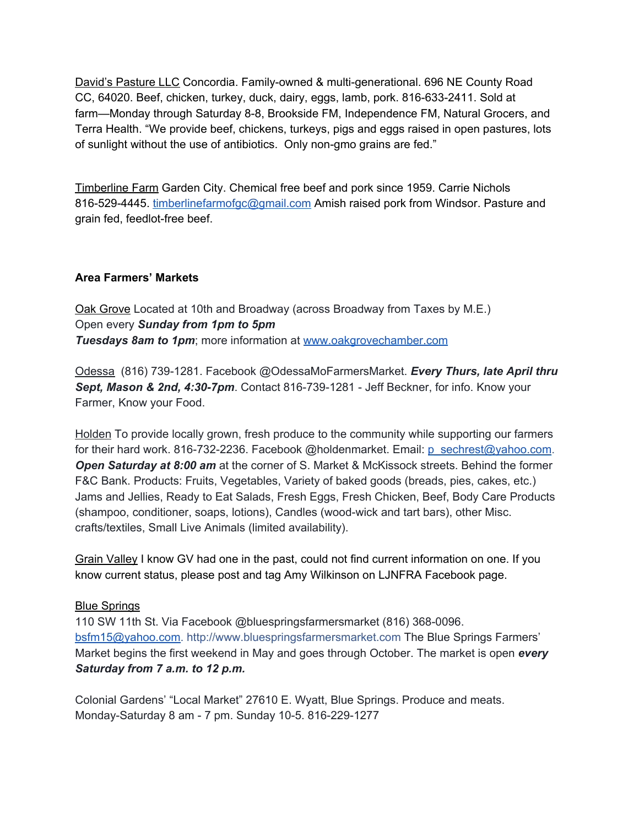David's Pasture LLC Concordia. Family-owned & multi-generational. 696 NE County Road CC, 64020. Beef, chicken, turkey, duck, dairy, eggs, lamb, pork. 816-633-2411. Sold at farm—Monday through Saturday 8-8, Brookside FM, Independence FM, Natural Grocers, and Terra Health. "We provide beef, chickens, turkeys, pigs and eggs raised in open pastures, lots of sunlight without the use of antibiotics. Only non-gmo grains are fed."

Timberline Farm Garden City. Chemical free beef and pork since 1959. Carrie Nichols 816-529-4445. [timberlinefarmofgc@gmail.com](mailto:timberlinefarmofgc@gmail.com) Amish raised pork from Windsor. Pasture and grain fed, feedlot-free beef.

# **Area Farmers' Markets**

Oak Grove Located at 10th and Broadway (across Broadway from Taxes by M.E.) Open every *Sunday from 1pm to 5pm Tuesdays 8am to 1pm*; more information at [www.oakgrovechamber.com](http://www.oakgrovechamber.com/)

Odessa (816) 739-1281. Facebook @OdessaMoFarmersMarket. *Every Thurs, late April thru Sept, Mason & 2nd, 4:30-7pm*. Contact 816-739-1281 - Jeff Beckner, for info. Know your Farmer, Know your Food.

Holden To provide locally grown, fresh produce to the community while supporting our farmers for their hard work. 816-732-2236. Facebook @holdenmarket. Email: [p\\_sechrest@yahoo.com.](mailto:p_sechrest@yahoo.com) *Open Saturday at 8:00 am* at the corner of S. Market & McKissock streets. Behind the former F&C Bank. Products: Fruits, Vegetables, Variety of baked goods (breads, pies, cakes, etc.) Jams and Jellies, Ready to Eat Salads, Fresh Eggs, Fresh Chicken, Beef, Body Care Products (shampoo, conditioner, soaps, lotions), Candles (wood-wick and tart bars), other Misc. crafts/textiles, Small Live Animals (limited availability).

Grain Valley I know GV had one in the past, could not find current information on one. If you know current status, please post and tag Amy Wilkinson on LJNFRA Facebook page.

# Blue Springs

110 SW 11th St. Via Facebook @bluespringsfarmersmarket (816) 368-0096. [bsfm15@yahoo.com.](mailto:bsfm15@yahoo.com) [http://www.bluespringsfarmersmarket.com](https://l.facebook.com/l.php?u=http%3A%2F%2Fwww.bluespringsfarmersmarket.com%2F&h=ATM3w7QT1G_X8rOrDVQQ2tWeqdgZYJtriFOry6sHKBCpDJXkSRxqX5cDngPSQPngFFtmogHD4WDe_mBZKz1Ahb-CbcJ40J-I4sa9lXgS7zx8LCoBCCWeQOBMqfX39xXCcy1GzPuctQI_Pqgsz7jcJVvXAt1_NLzVS2Hqp1I3N8YnxSpVdIbeejXaTEJmcKlZDe1uH45bsi3Kbt0ijliX-cHNvZ5yQ974VyzFkCtfn_HrOTADqX8pe1OuGG6FD6fDqpaYcc0SfPhvnZOyFm3kj_T6tftn8yoRd8o3BDLaQl5r4ATxcCZi58HcrIipP6PE_UurQbUJ-SUmiNlirLkEosRxUDVd9RLN9Dz72Qj46nGScPQUzD11MZlAhqzu29OTFqTOarP3Au1R6ysaV_3qfiQh9VdBzYxlqrtEo5RphIM7gUrbBCv7xzKfVQWGSBhlaLfbmA3X_NdHsMaoqK5U) The Blue Springs Farmers' Market begins the first weekend in May and goes through October. The market is open *every Saturday from 7 a.m. to 12 p.m.*

Colonial Gardens' "Local Market" 27610 E. Wyatt, Blue Springs. Produce and meats. Monday-Saturday 8 am - 7 pm. Sunday 10-5. 816-229-1277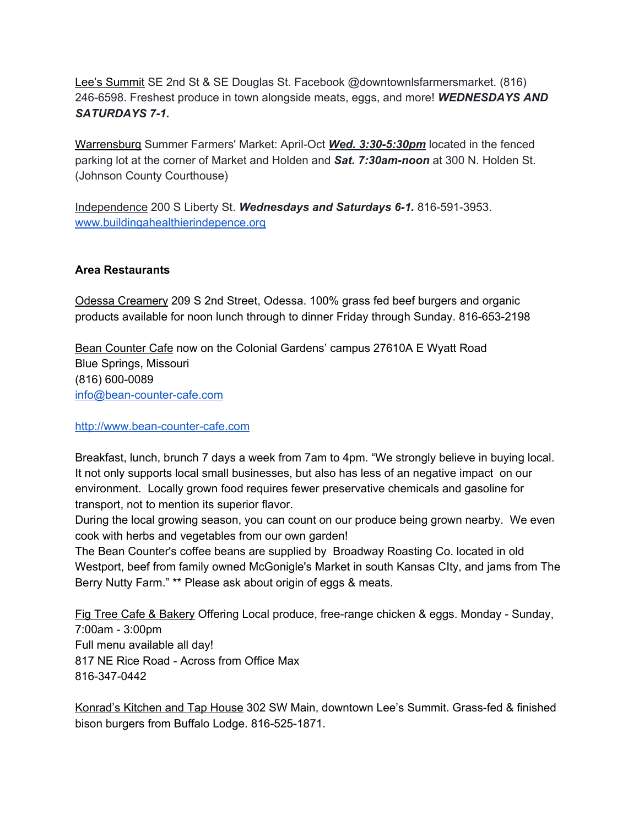Lee's Summit SE 2nd St & SE Douglas St. Facebook @downtownlsfarmersmarket. (816) 246-6598. Freshest produce in town alongside meats, eggs, and more! *WEDNESDAYS AND SATURDAYS 7-1.*

Warrensburg Summer Farmers' Market: April-Oct *Wed. 3:30-5:30pm* located in the fenced parking lot at the corner of Market and Holden and **Sat. 7:30am-noon** at 300 N. Holden St. (Johnson County Courthouse)

Independence 200 S Liberty St. *Wednesdays and Saturdays 6-1.* 816-591-3953. [www.buildingahealthierindepence.org](http://www.buildingahealthierindepence.org/)

# **Area Restaurants**

Odessa Creamery 209 S 2nd Street, Odessa. 100% grass fed beef burgers and organic products available for noon lunch through to dinner Friday through Sunday. 816-653-2198

Bean Counter Cafe now on the Colonial Gardens' campus 27610A E Wyatt Road Blue Springs, Missouri (816) 600-0089 [info@bean-counter-cafe.com](mailto:info@bean-counter-cafe.com)

[http://www.bean-counter-cafe.com](http://www.bean-counter-cafe.com/)

Breakfast, lunch, brunch 7 days a week from 7am to 4pm. "We strongly believe in buying local. It not only supports local small businesses, but also has less of an negative impact on our environment. Locally grown food requires fewer preservative chemicals and gasoline for transport, not to mention its superior flavor.

During the local growing season, you can count on our produce being grown nearby. We even cook with herbs and vegetables from our own garden!

The Bean Counter's coffee beans are supplied by Broadway Roasting Co. located in old Westport, beef from family owned McGonigle's Market in south Kansas CIty, and jams from The Berry Nutty Farm." \*\* Please ask about origin of eggs & meats.

Fig Tree Cafe & Bakery Offering Local produce, free-range chicken & eggs. Monday - Sunday, 7:00am - 3:00pm Full menu available all day! 817 NE Rice Road - Across from Office Max 816-347-0442

Konrad's Kitchen and Tap House 302 SW Main, downtown Lee's Summit. Grass-fed & finished bison burgers from Buffalo Lodge. 816-525-1871.